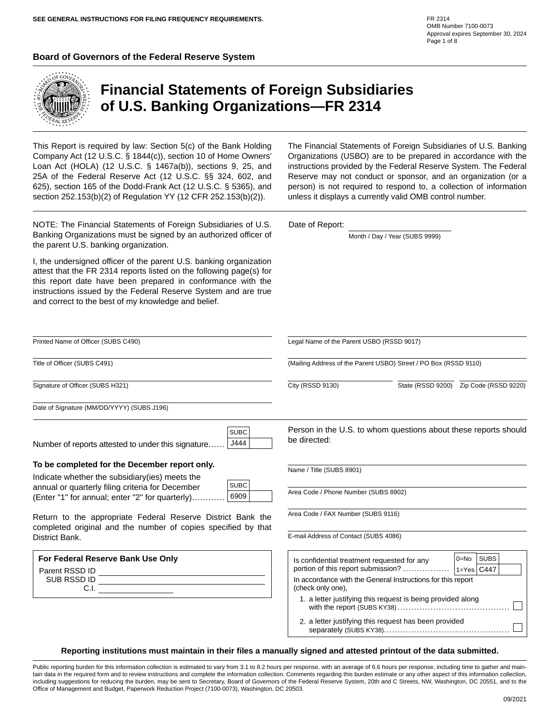#### **Board of Governors of the Federal Reserve System**



Title of Officer (SUBS C491)

District Bank.

Parent RSSD ID SUB RSSD ID

C.I.

Signature of Officer (SUBS H321)

## **Financial Statements of Foreign Subsidiaries of U.S. Banking Organizations—FR 2314**

This Report is required by law: Section 5(c) of the Bank Holding Company Act (12 U.S.C. § 1844(c)), section 10 of Home Owners' Loan Act (HOLA) (12 U.S.C. § 1467a(b)), sections 9, 25, and 25A of the Federal Reserve Act (12 U.S.C. §§ 324, 602, and 625), section 165 of the Dodd-Frank Act (12 U.S.C. § 5365), and section 252.153(b)(2) of Regulation YY (12 CFR 252.153(b)(2)).

NOTE: The Financial Statements of Foreign Subsidiaries of U.S. Banking Organizations must be signed by an authorized officer of the parent U.S. banking organization.

I, the undersigned officer of the parent U.S. banking organization attest that the FR 2314 reports listed on the following page(s) for this report date have been prepared in conformance with the instructions issued by the Federal Reserve System and are true and correct to the best of my knowledge and belief.

The Financial Statements of Foreign Subsidiaries of U.S. Banking Organizations (USBO) are to be prepared in accordance with the instructions provided by the Federal Reserve System. The Federal Reserve may not conduct or sponsor, and an organization (or a person) is not required to respond to, a collection of information unless it displays a currently valid OMB control number.

Month / Day / Year (SUBS 9999)

Printed Name of Officer (SUBS C490) Legal Name of the Parent USBO (RSSD 9017) (Mailing Address of the Parent USBO) Street / PO Box (RSSD 9110)  $\overline{\phantom{a}}$ City (RSSD 9130) State (RSSD 9200) Zip Code (RSSD 9220) Date of Signature (MM/DD/YYYY) (SUBS J196) Person in the U.S. to whom questions about these reports should **SUBC** be directed: J444 Number of reports attested to under this signature...... **To be completed for the December report only.** Name / Title (SUBS 8901) Indicate whether the subsidiary(ies) meets the SUBC annual or quarterly filing criteria for December Area Code / Phone Number (SUBS 8902) 6909 (Enter "1" for annual; enter "2" for quarterly)............ Area Code / FAX Number (SUBS 9116) Return to the appropriate Federal Reserve District Bank the completed original and the number of copies specified by that E-mail Address of Contact (SUBS 4086) **For Federal Reserve Bank Use O SUBS** 0=No

Date of Report:

separately (SUBS KY38)..............................................

| nly | Is confidential treatment requested for any                                      | $0 = No$           | <b>SUBS</b> |  |
|-----|----------------------------------------------------------------------------------|--------------------|-------------|--|
|     | portion of this report submission?                                               | $ 1=Y$ es $ C447 $ |             |  |
|     | In accordance with the General Instructions for this report<br>(check only one). |                    |             |  |
|     | 1. a letter justifying this request is being provided along                      |                    |             |  |
|     | 2. a letter justifying this request has been provided                            |                    |             |  |

**Reporting institutions must maintain in their files a manually signed and attested printout of the data submitted.**

Public reporting burden for this information collection is estimated to vary from 3.1 to 8.2 hours per response, with an average of 6.6 hours per response, including time to gather and maintain data in the required form and to review instructions and complete the information collection. Comments regarding this burden estimate or any other aspect of this information collection, including suggestions for reducing the burden, may be sent to Secretary, Board of Governors of the Federal Reserve System, 20th and C Streets, NW, Washington, DC 20551, and to the Office of Management and Budget, Paperwork Reduction Project (7100-0073), Washington, DC 20503.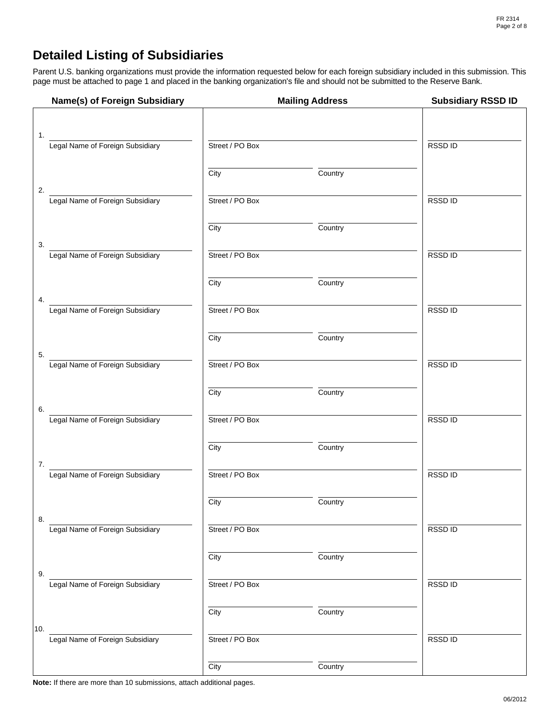## **Detailed Listing of Subsidiaries**

Parent U.S. banking organizations must provide the information requested below for each foreign subsidiary included in this submission. This page must be attached to page 1 and placed in the banking organization's file and should not be submitted to the Reserve Bank.

| Name(s) of Foreign Subsidiary           |                 | <b>Mailing Address</b> | <b>Subsidiary RSSD ID</b> |
|-----------------------------------------|-----------------|------------------------|---------------------------|
|                                         |                 |                        |                           |
| 1.<br>Legal Name of Foreign Subsidiary  | Street / PO Box |                        | RSSD ID                   |
|                                         | City            | Country                |                           |
| 2.<br>Legal Name of Foreign Subsidiary  | Street / PO Box |                        | RSSD ID                   |
|                                         | City            | Country                |                           |
| 3.<br>Legal Name of Foreign Subsidiary  | Street / PO Box |                        | RSSD ID                   |
|                                         | City            | Country                |                           |
| 4.<br>Legal Name of Foreign Subsidiary  | Street / PO Box |                        | RSSD ID                   |
|                                         | City            | Country                |                           |
| Legal Name of Foreign Subsidiary<br>5.  | Street / PO Box |                        | RSSD ID                   |
|                                         | City            | Country                |                           |
| Legal Name of Foreign Subsidiary<br>6.  | Street / PO Box |                        | RSSD ID                   |
|                                         | City            | Country                |                           |
| 7.<br>Legal Name of Foreign Subsidiary  | Street / PO Box |                        | RSSD ID                   |
|                                         | City            | Country                |                           |
| 8.<br>Legal Name of Foreign Subsidiary  | Street / PO Box |                        | RSSD ID                   |
|                                         | City            | Country                |                           |
| 9.<br>Legal Name of Foreign Subsidiary  | Street / PO Box |                        | RSSD ID                   |
|                                         | City            | Country                |                           |
| 10.<br>Legal Name of Foreign Subsidiary | Street / PO Box |                        | RSSD ID                   |
|                                         | City            | Country                |                           |

**Note:** If there are more than 10 submissions, attach additional pages.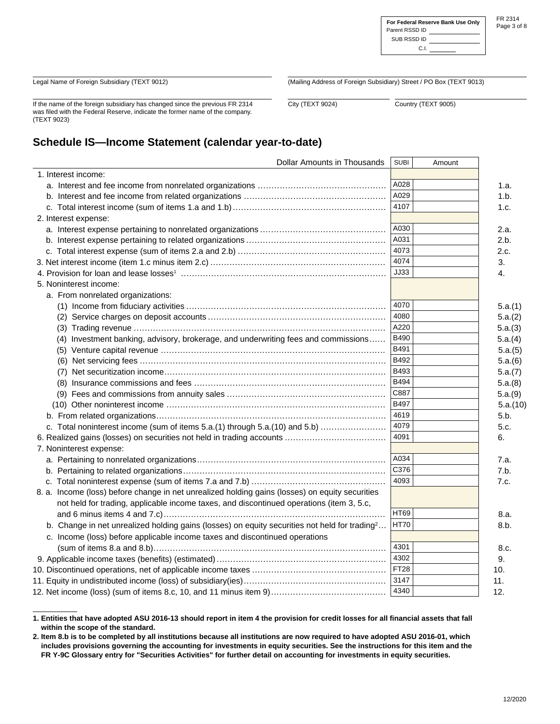|                | For Federal Reserve Bank Use Only |
|----------------|-----------------------------------|
| Parent RSSD ID |                                   |
| SUB RSSD ID    |                                   |

FR 2314 Page 3 of 8

C.I

Legal Name of Foreign Subsidiary (TEXT 9012)

If the name of the foreign subsidiary has changed since the previous FR 2314 was filed with the Federal Reserve, indicate the former name of the company. (TEXT 9023)

(Mailing Address of Foreign Subsidiary) Street / PO Box (TEXT 9013)

City (TEXT 9024) Country (TEXT 9005)

## **Schedule IS—Income Statement (calendar year-to-date)**

| <b>Dollar Amounts in Thousands</b>                                                                        | <b>SUBI</b> | Amount |          |
|-----------------------------------------------------------------------------------------------------------|-------------|--------|----------|
| 1. Interest income:                                                                                       |             |        |          |
|                                                                                                           | A028        |        | 1.a.     |
|                                                                                                           | A029        |        | 1.b.     |
|                                                                                                           | 4107        |        | 1.c.     |
| 2. Interest expense:                                                                                      |             |        |          |
|                                                                                                           | A030        |        | 2.a.     |
|                                                                                                           | A031        |        | 2.b.     |
|                                                                                                           | 4073        |        | 2.c.     |
|                                                                                                           | 4074        |        | 3.       |
|                                                                                                           | <b>JJ33</b> |        | 4.       |
| 5. Noninterest income:                                                                                    |             |        |          |
| a. From nonrelated organizations:                                                                         |             |        |          |
|                                                                                                           | 4070        |        | 5.a.(1)  |
|                                                                                                           | 4080        |        | 5.a.(2)  |
|                                                                                                           | A220        |        | 5.a.(3)  |
| (4) Investment banking, advisory, brokerage, and underwriting fees and commissions                        | B490        |        | 5.a.(4)  |
|                                                                                                           | B491        |        | 5.a.(5)  |
|                                                                                                           | <b>B492</b> |        | 5.a.(6)  |
|                                                                                                           | B493        |        | 5.a.(7)  |
|                                                                                                           | <b>B494</b> |        | 5.a.(8)  |
|                                                                                                           | C887        |        | 5.a.(9)  |
|                                                                                                           | <b>B497</b> |        | 5.a.(10) |
|                                                                                                           | 4619        |        | 5.b.     |
| c. Total noninterest income (sum of items 5.a.(1) through 5.a.(10) and 5.b)                               | 4079        |        | 5.c.     |
|                                                                                                           | 4091        |        | 6.       |
| 7. Noninterest expense:                                                                                   |             |        |          |
|                                                                                                           | A034        |        | 7.a.     |
|                                                                                                           | C376        |        | 7.b.     |
|                                                                                                           | 4093        |        | 7.c.     |
| 8. a. Income (loss) before change in net unrealized holding gains (losses) on equity securities           |             |        |          |
| not held for trading, applicable income taxes, and discontinued operations (item 3, 5.c,                  |             |        |          |
|                                                                                                           | <b>HT69</b> |        | 8.a.     |
| b. Change in net unrealized holding gains (losses) on equity securities not held for trading <sup>2</sup> | <b>HT70</b> |        | 8.b.     |
| c. Income (loss) before applicable income taxes and discontinued operations                               |             |        |          |
|                                                                                                           | 4301        |        | 8.c.     |
|                                                                                                           | 4302        |        | 9.       |
|                                                                                                           | <b>FT28</b> |        | 10.      |
|                                                                                                           | 3147        |        | 11.      |
|                                                                                                           | 4340        |        | 12.      |

**1. Entities that have adopted ASU 2016-13 should report in item 4 the provision for credit losses for all financial assets that fall within the scope of the standard.** 

**<sup>2.</sup> Item 8.b is to be completed by all institutions because all institutions are now required to have adopted ASU 2016-01, which includes provisions governing the accounting for investments in equity securities. See the instructions for this item and the FR Y-9C Glossary entry for "Securities Activities" for further detail on accounting for investments in equity securities.**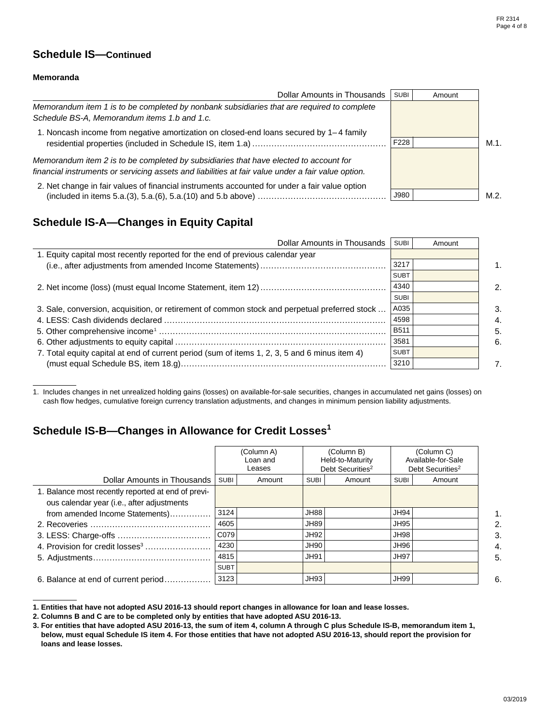### **Schedule IS—Continued**

#### **Memoranda**

| Dollar Amounts in Thousands                                                                                                                                                                 | <b>SUBI</b> | Amount |         |
|---------------------------------------------------------------------------------------------------------------------------------------------------------------------------------------------|-------------|--------|---------|
| Memorandum item 1 is to be completed by nonbank subsidiaries that are required to complete<br>Schedule BS-A, Memorandum items 1.b and 1.c.                                                  |             |        |         |
| 1. Noncash income from negative amortization on closed-end loans secured by 1–4 family                                                                                                      | F228        |        | $M.1$ . |
| Memorandum item 2 is to be completed by subsidiaries that have elected to account for<br>financial instruments or servicing assets and liabilities at fair value under a fair value option. |             |        |         |
| 2. Net change in fair values of financial instruments accounted for under a fair value option                                                                                               | J980        |        | M.2.    |

### **Schedule IS-A—Changes in Equity Capital**

| Dollar Amounts in Thousands                                                                   | <b>SUBI</b> | Amount |    |
|-----------------------------------------------------------------------------------------------|-------------|--------|----|
| 1. Equity capital most recently reported for the end of previous calendar year                |             |        |    |
|                                                                                               | 3217        |        | 1. |
|                                                                                               | <b>SUBT</b> |        |    |
|                                                                                               | 4340        |        | 2. |
|                                                                                               | <b>SUBI</b> |        |    |
| 3. Sale, conversion, acquisition, or retirement of common stock and perpetual preferred stock | A035        |        | 3. |
|                                                                                               | 4598        |        | 4. |
|                                                                                               | <b>B511</b> |        | 5. |
|                                                                                               | 3581        |        | 6. |
| 7. Total equity capital at end of current period (sum of items 1, 2, 3, 5 and 6 minus item 4) | <b>SUBT</b> |        |    |
|                                                                                               | 3210        |        | 7. |

1. Includes changes in net unrealized holding gains (losses) on available-for-sale securities, changes in accumulated net gains (losses) on cash flow hedges, cumulative foreign currency translation adjustments, and changes in minimum pension liability adjustments.

### **Schedule IS-B—Changes in Allowance for Credit Losses1**

|                                                    |             | (Column A)<br>Loan and<br>Leases |             | (Column B)<br>Held-to-Maturity<br>Debt Securities <sup>2</sup> |             | (Column C)<br>Available-for-Sale<br>Debt Securities <sup>2</sup> |              |
|----------------------------------------------------|-------------|----------------------------------|-------------|----------------------------------------------------------------|-------------|------------------------------------------------------------------|--------------|
| Dollar Amounts in Thousands                        | <b>SUBI</b> | Amount                           | <b>SUBI</b> | Amount                                                         | <b>SUBI</b> | Amount                                                           |              |
| 1. Balance most recently reported at end of previ- |             |                                  |             |                                                                |             |                                                                  |              |
| ous calendar year (i.e., after adjustments         |             |                                  |             |                                                                |             |                                                                  |              |
| from amended Income Statements)                    | 3124        |                                  | JH88        |                                                                | <b>JH94</b> |                                                                  | 1.           |
|                                                    | 4605        |                                  | JH89        |                                                                | <b>JH95</b> |                                                                  | $\mathbf{2}$ |
|                                                    | CO79        |                                  | JH92        |                                                                | <b>JH98</b> |                                                                  | 3.           |
|                                                    | 4230        |                                  | JH90        |                                                                | JH96        |                                                                  | 4.           |
|                                                    | 4815        |                                  | <b>JH91</b> |                                                                | <b>JH97</b> |                                                                  | 5.           |
|                                                    | <b>SUBT</b> |                                  |             |                                                                |             |                                                                  |              |
| 6. Balance at end of current period                | 3123        |                                  | <b>JH93</b> |                                                                | <b>JH99</b> |                                                                  | 6.           |

**<sup>1.</sup> Entities that have not adopted ASU 2016-13 should report changes in allowance for loan and lease losses.** 

**<sup>2.</sup> Columns B and C are to be completed only by entities that have adopted ASU 2016-13.** 

**<sup>3.</sup> For entities that have adopted ASU 2016-13, the sum of item 4, column A through C plus Schedule IS-B, memorandum item 1, below, must equal Schedule IS item 4. For those entities that have not adopted ASU 2016-13, should report the provision for loans and lease losses.**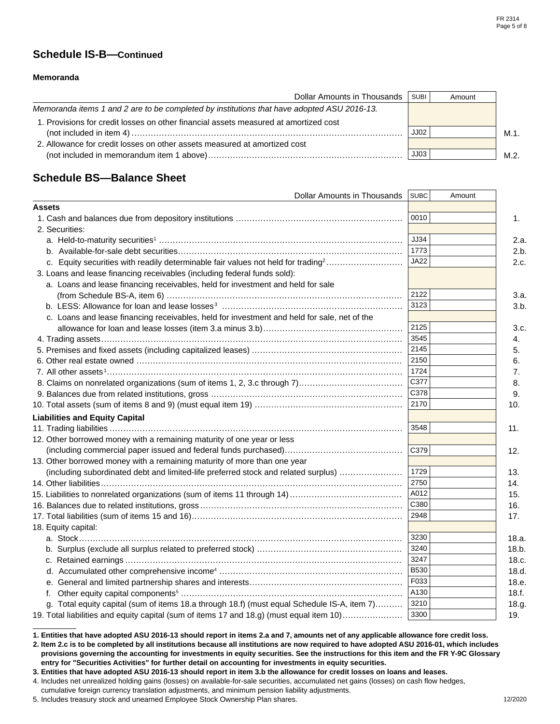### **Schedule IS-B—Continued**

#### **Memoranda**

| Dollar Amounts in Thousands                                                                | SUBI <sup>1</sup> | Amount |      |
|--------------------------------------------------------------------------------------------|-------------------|--------|------|
| Memoranda items 1 and 2 are to be completed by institutions that have adopted ASU 2016-13. |                   |        |      |
| 1. Provisions for credit losses on other financial assets measured at amortized cost       |                   |        |      |
|                                                                                            | JJO2              |        | M.1. |
| 2. Allowance for credit losses on other assets measured at amortized cost                  |                   |        |      |
|                                                                                            | JJ03              |        | M.2. |

### **Schedule BS—Balance Sheet**

| Dollar Amounts in Thousands                                                                  | <b>SUBC</b> | Amount |       |
|----------------------------------------------------------------------------------------------|-------------|--------|-------|
| <b>Assets</b>                                                                                |             |        |       |
|                                                                                              | 0010        |        | 1.    |
| 2. Securities:                                                                               |             |        |       |
|                                                                                              | <b>JJ34</b> |        | 2.a.  |
|                                                                                              | 1773        |        | 2.b.  |
| c. Equity securities with readily determinable fair values not held for trading <sup>2</sup> | <b>JA22</b> |        | 2.c.  |
| 3. Loans and lease financing receivables (including federal funds sold):                     |             |        |       |
| a. Loans and lease financing receivables, held for investment and held for sale              |             |        |       |
|                                                                                              | 2122        |        | 3.a.  |
|                                                                                              | 3123        |        | 3.b.  |
| c. Loans and lease financing receivables, held for investment and held for sale, net of the  |             |        |       |
|                                                                                              | 2125        |        | 3.c.  |
|                                                                                              | 3545        |        | 4.    |
|                                                                                              | 2145        |        | 5.    |
|                                                                                              | 2150        |        | 6.    |
|                                                                                              | 1724        |        | 7.    |
|                                                                                              | C377        |        | 8.    |
|                                                                                              | C378        |        | 9.    |
|                                                                                              | 2170        |        | 10.   |
| <b>Liabilities and Equity Capital</b>                                                        |             |        |       |
|                                                                                              | 3548        |        | 11.   |
| 12. Other borrowed money with a remaining maturity of one year or less                       |             |        |       |
|                                                                                              | C379        |        | 12.   |
| 13. Other borrowed money with a remaining maturity of more than one year                     |             |        |       |
| (including subordinated debt and limited-life preferred stock and related surplus)           | 1729        |        | 13.   |
|                                                                                              | 2750        |        | 14.   |
|                                                                                              | A012        |        | 15.   |
|                                                                                              | C380        |        | 16.   |
|                                                                                              | 2948        |        | 17.   |
| 18. Equity capital:                                                                          |             |        |       |
|                                                                                              | 3230        |        | 18.a. |
|                                                                                              | 3240        |        | 18.b. |
|                                                                                              | 3247        |        | 18.c. |
|                                                                                              | B530        |        | 18.d. |
|                                                                                              | F033        |        | 18.e. |
|                                                                                              | A130        |        | 18.f. |
| g. Total equity capital (sum of items 18.a through 18.f) (must equal Schedule IS-A, item 7)  | 3210        |        | 18.g. |
| 19. Total liabilities and equity capital (sum of items 17 and 18.g) (must equal item 10)     | 3300        |        | 19.   |

**<sup>1.</sup> Entities that have adopted ASU 2016-13 should report in items 2.a and 7, amounts net of any applicable allowance fore credit loss.** 

**<sup>2.</sup> Item 2.c is to be completed by all institutions because all institutions are now required to have adopted ASU 2016-01, which includes provisions governing the accounting for investments in equity securities. See the instructions for this item and the FR Y-9C Glossary entry for "Securities Activities" for further detail on accounting for investments in equity securities.** 

**<sup>3.</sup> Entities that have adopted ASU 2016-13 should report in item 3.b the allowance for credit losses on loans and leases.** 

<sup>4.</sup> Includes net unrealized holding gains (losses) on available-for-sale securities, accumulated net gains (losses) on cash flow hedges,

cumulative foreign currency translation adjustments, and minimum pension liability adjustments.

<sup>5.</sup> Includes treasury stock and unearned Employee Stock Ownership Plan shares.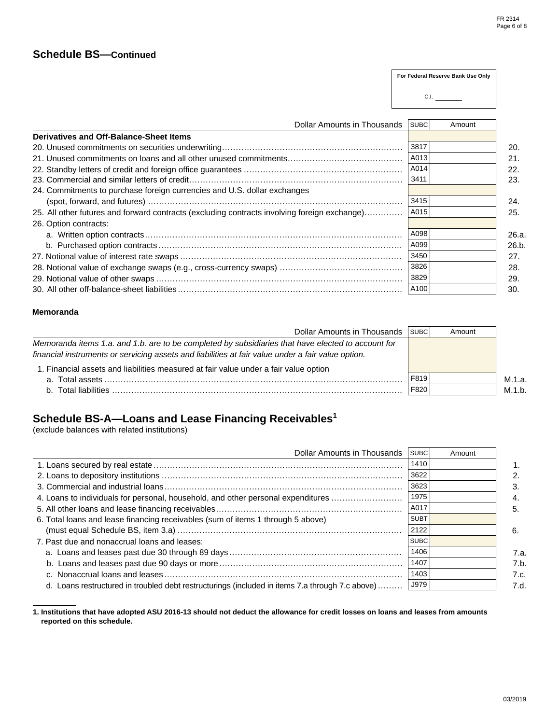#### **Schedule BS—Continued**

3415 A015 A098 A099 3450 3826 3829 A100 24. Commitments to purchase foreign currencies and U.S. dollar exchanges (spot, forward, and futures) ............................................................................................. 24. 25. All other futures and forward contracts (excluding contracts involving foreign exchange)............... | A015 | 26. Option contracts: a. Written option contracts.............................................................................................. 26.a. b. Purchased option contracts ......................................................................................... 26.b. 27. Notional value of interest rate swaps ................................................................................. 27. 28. Notional value of exchange swaps (e.g., cross-currency swaps) ............................................. 28. 29. Notional value of other swaps .......................................................................................... 29. 30. All other off-balance-sheet liabilities .................................................................................. 30. Dollar Amounts in Thousands **Derivatives and Off-Balance-Sheet Items** SUBC Amount 3817 A013 A014 3411 20. Unused commitments on securities underwriting.................................................................. 20. 21. Unused commitments on loans and all other unused commitments.......................................... 21. 22. Standby letters of credit and foreign office guarantees .......................................................... 22. **For Federal Reserve Bank Use Only** C.I. 23. Commercial and similar letters of credit.............................................................................. 23.

#### **Memoranda**

| Dollar Amounts in Thousands                                                                        | SUBC | Amount |        |
|----------------------------------------------------------------------------------------------------|------|--------|--------|
| Memoranda items 1.a. and 1.b. are to be completed by subsidiaries that have elected to account for |      |        |        |
| financial instruments or servicing assets and liabilities at fair value under a fair value option. |      |        |        |
| 1. Financial assets and liabilities measured at fair value under a fair value option               |      |        |        |
|                                                                                                    | F819 |        | M.1.a. |
|                                                                                                    | F820 |        | M.1.b. |

#### **Schedule BS-A—Loans and Lease Financing Receivables1**

(exclude balances with related institutions)

| Dollar Amounts in Thousands                                                                     | <b>SUBC</b> | Amount |      |
|-------------------------------------------------------------------------------------------------|-------------|--------|------|
|                                                                                                 | 1410        |        |      |
|                                                                                                 | 3622        |        |      |
|                                                                                                 | 3623        |        |      |
| 4. Loans to individuals for personal, household, and other personal expenditures                | 1975        |        |      |
|                                                                                                 | A017        |        | 5.   |
| 6. Total loans and lease financing receivables (sum of items 1 through 5 above)                 | <b>SUBT</b> |        |      |
|                                                                                                 | 2122        |        | 6.   |
| 7. Past due and nonaccrual loans and leases:                                                    | <b>SUBC</b> |        |      |
|                                                                                                 | 1406        |        | 7.a. |
|                                                                                                 | 1407        |        | 7.b. |
|                                                                                                 | 1403        |        | 7.c. |
| d. Loans restructured in troubled debt restructurings (included in items 7.a through 7.c above) | J979        |        | 7.d. |

**1. Institutions that have adopted ASU 2016-13 should not deduct the allowance for credit losses on loans and leases from amounts reported on this schedule.**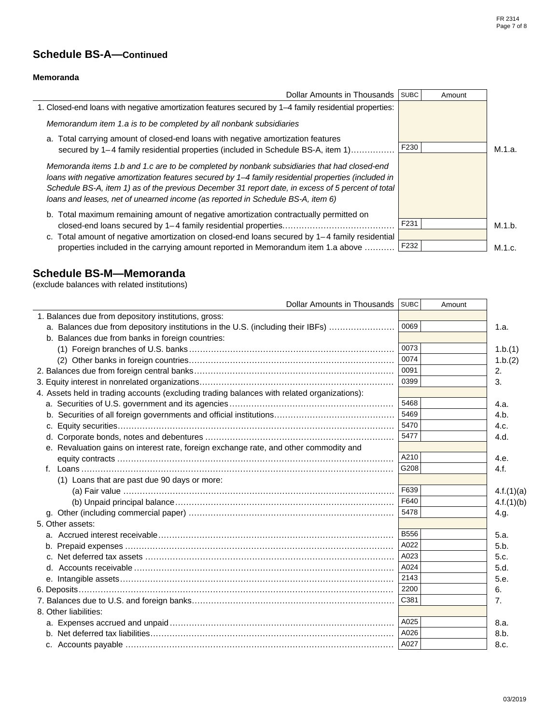## **Schedule BS-A—Continued**

#### **Memoranda**

| Dollar Amounts in Thousands                                                                                                                                                                                                                                                                                                                                                                 | <b>SUBC</b> | Amount |        |
|---------------------------------------------------------------------------------------------------------------------------------------------------------------------------------------------------------------------------------------------------------------------------------------------------------------------------------------------------------------------------------------------|-------------|--------|--------|
| 1. Closed-end loans with negative amortization features secured by 1–4 family residential properties:                                                                                                                                                                                                                                                                                       |             |        |        |
| Memorandum item 1.a is to be completed by all nonbank subsidiaries                                                                                                                                                                                                                                                                                                                          |             |        |        |
| a. Total carrying amount of closed-end loans with negative amortization features<br>secured by 1–4 family residential properties (included in Schedule BS-A, item 1)                                                                                                                                                                                                                        | F230        |        | M.1.a. |
| Memoranda items 1.b and 1.c are to be completed by nonbank subsidiaries that had closed-end<br>loans with negative amortization features secured by 1-4 family residential properties (included in<br>Schedule BS-A, item 1) as of the previous December 31 report date, in excess of 5 percent of total<br>loans and leases, net of unearned income (as reported in Schedule BS-A, item 6) |             |        |        |
| b. Total maximum remaining amount of negative amortization contractually permitted on                                                                                                                                                                                                                                                                                                       | F231        |        | M.1.b. |
| c. Total amount of negative amortization on closed-end loans secured by $1-4$ family residential                                                                                                                                                                                                                                                                                            |             |        |        |
| properties included in the carrying amount reported in Memorandum item 1.a above                                                                                                                                                                                                                                                                                                            | F232        |        | M.1.c. |

## **Schedule BS-M—Memoranda**

(exclude balances with related institutions)

| Dollar Amounts in Thousands SUBC                                                            |             | Amount |            |
|---------------------------------------------------------------------------------------------|-------------|--------|------------|
| 1. Balances due from depository institutions, gross:                                        |             |        |            |
| a. Balances due from depository institutions in the U.S. (including their IBFs)             | 0069        |        | 1.a.       |
| b. Balances due from banks in foreign countries:                                            |             |        |            |
|                                                                                             | 0073        |        | 1.b.(1)    |
|                                                                                             | 0074        |        | 1.b.(2)    |
|                                                                                             | 0091        |        | 2.         |
|                                                                                             | 0399        |        | 3.         |
| 4. Assets held in trading accounts (excluding trading balances with related organizations): |             |        |            |
|                                                                                             | 5468        |        | 4.a.       |
|                                                                                             | 5469        |        | 4.b.       |
| c.                                                                                          | 5470        |        | 4.c.       |
|                                                                                             | 5477        |        | 4.d.       |
| e. Revaluation gains on interest rate, foreign exchange rate, and other commodity and       |             |        |            |
|                                                                                             | A210        |        | 4.e.       |
|                                                                                             | G208        |        | 4.f.       |
| (1) Loans that are past due 90 days or more:                                                |             |        |            |
|                                                                                             | F639        |        | 4.f.(1)(a) |
|                                                                                             | F640        |        | 4.f.(1)(b) |
|                                                                                             | 5478        |        | 4.g.       |
| 5. Other assets:                                                                            |             |        |            |
|                                                                                             | <b>B556</b> |        | 5.a.       |
|                                                                                             | A022        |        | 5.b.       |
| C.                                                                                          | A023        |        | 5.c.       |
|                                                                                             | A024        |        | 5.d.       |
|                                                                                             | 2143        |        | 5.e.       |
|                                                                                             | 2200        |        | 6.         |
|                                                                                             | C381        |        | 7.         |
| 8. Other liabilities:                                                                       |             |        |            |
|                                                                                             | A025        |        | 8.a.       |
|                                                                                             | A026        |        | 8.b.       |
|                                                                                             | A027        |        | 8.c.       |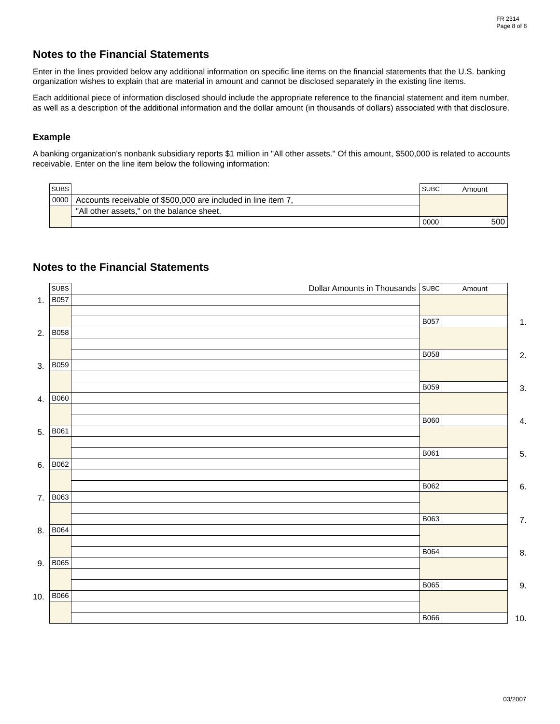### **Notes to the Financial Statements**

Enter in the lines provided below any additional information on specific line items on the financial statements that the U.S. banking organization wishes to explain that are material in amount and cannot be disclosed separately in the existing line items.

Each additional piece of information disclosed should include the appropriate reference to the financial statement and item number, as well as a description of the additional information and the dollar amount (in thousands of dollars) associated with that disclosure.

#### **Example**

A banking organization's nonbank subsidiary reports \$1 million in "All other assets." Of this amount, \$500,000 is related to accounts receivable. Enter on the line item below the following information:

| <b>SUBS</b> |                                                               | <b>SUBC</b> | Amount |
|-------------|---------------------------------------------------------------|-------------|--------|
| 0000        | Accounts receivable of \$500,000 are included in line item 7, |             |        |
|             | "All other assets." on the balance sheet.                     |             |        |
|             |                                                               | 0000        | 500    |

### **Notes to the Financial Statements**

|     | <b>SUBS</b> | Dollar Amounts in Thousands SUBC |             | Amount |                |
|-----|-------------|----------------------------------|-------------|--------|----------------|
| 1.  | <b>B057</b> |                                  |             |        |                |
|     |             |                                  | <b>B057</b> |        |                |
| 2.  | <b>B058</b> |                                  |             |        | $\mathbf{1}$ . |
|     |             |                                  |             |        |                |
|     |             |                                  | <b>B058</b> |        | 2.             |
| 3.  | <b>B059</b> |                                  |             |        |                |
|     |             |                                  | <b>B059</b> |        | 3.             |
| 4.  | <b>B060</b> |                                  |             |        |                |
|     |             |                                  |             |        |                |
|     |             |                                  | <b>B060</b> |        | 4.             |
| 5.  | B061        |                                  |             |        |                |
|     |             |                                  | B061        |        | 5.             |
| 6.  | <b>B062</b> |                                  |             |        |                |
|     |             |                                  |             |        |                |
|     |             |                                  | <b>B062</b> |        | 6.             |
| 7.  | B063        |                                  |             |        |                |
|     |             |                                  | <b>B063</b> |        | 7.             |
| 8.  | <b>B064</b> |                                  |             |        |                |
|     |             |                                  |             |        |                |
|     |             |                                  | <b>B064</b> |        | 8.             |
| 9.  | <b>B065</b> |                                  |             |        |                |
|     |             |                                  | <b>B065</b> |        | 9.             |
| 10. | <b>B066</b> |                                  |             |        |                |
|     |             |                                  |             |        |                |
|     |             |                                  | <b>B066</b> |        | 10.            |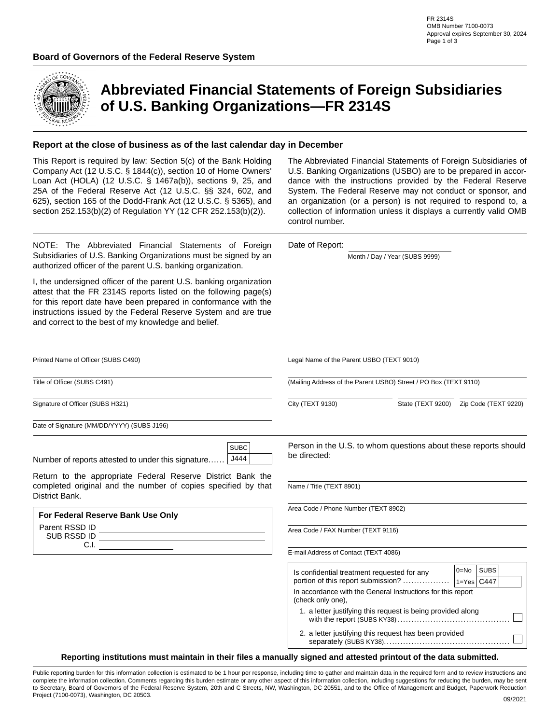

## **Abbreviated Financial Statements of Foreign Subsidiaries of U.S. Banking Organizations—FR 2314S**

#### **Report at the close of business as of the last calendar day in December**

This Report is required by law: Section 5(c) of the Bank Holding Company Act (12 U.S.C. § 1844(c)), section 10 of Home Owners' Loan Act (HOLA) (12 U.S.C. § 1467a(b)), sections 9, 25, and 25A of the Federal Reserve Act (12 U.S.C. §§ 324, 602, and 625), section 165 of the Dodd-Frank Act (12 U.S.C. § 5365), and section 252.153(b)(2) of Regulation YY (12 CFR 252.153(b)(2)).

NOTE: The Abbreviated Financial Statements of Foreign Subsidiaries of U.S. Banking Organizations must be signed by an authorized officer of the parent U.S. banking organization.

I, the undersigned officer of the parent U.S. banking organization attest that the FR 2314S reports listed on the following page(s) for this report date have been prepared in conformance with the instructions issued by the Federal Reserve System and are true and correct to the best of my knowledge and belief.

The Abbreviated Financial Statements of Foreign Subsidiaries of U.S. Banking Organizations (USBO) are to be prepared in accordance with the instructions provided by the Federal Reserve System. The Federal Reserve may not conduct or sponsor, and an organization (or a person) is not required to respond to, a collection of information unless it displays a currently valid OMB control number.

Date of Report:

Month / Day / Year (SUBS 9999)

2. a letter justifying this request has been provided

| Printed Name of Officer (SUBS C490)                                                                                                            | Legal Name of the Parent USBO (TEXT 9010)<br>(Mailing Address of the Parent USBO) Street / PO Box (TEXT 9110)                   |                                                             |                                           |  |  |
|------------------------------------------------------------------------------------------------------------------------------------------------|---------------------------------------------------------------------------------------------------------------------------------|-------------------------------------------------------------|-------------------------------------------|--|--|
| Title of Officer (SUBS C491)                                                                                                                   |                                                                                                                                 |                                                             |                                           |  |  |
| Signature of Officer (SUBS H321)                                                                                                               | City (TEXT 9130)                                                                                                                |                                                             | State (TEXT 9200)    Zip Code (TEXT 9220) |  |  |
| Date of Signature (MM/DD/YYYY) (SUBS J196)                                                                                                     |                                                                                                                                 |                                                             |                                           |  |  |
| <b>SUBC</b><br>Number of reports attested to under this signature   J444                                                                       | Person in the U.S. to whom questions about these reports should<br>be directed:                                                 |                                                             |                                           |  |  |
| Return to the appropriate Federal Reserve District Bank the<br>completed original and the number of copies specified by that<br>District Bank. | Name / Title (TEXT 8901)                                                                                                        |                                                             |                                           |  |  |
| For Federal Reserve Bank Use Only                                                                                                              | Area Code / Phone Number (TEXT 8902)                                                                                            |                                                             |                                           |  |  |
|                                                                                                                                                | Area Code / FAX Number (TEXT 9116)                                                                                              |                                                             |                                           |  |  |
| C.I.                                                                                                                                           | E-mail Address of Contact (TEXT 4086)                                                                                           |                                                             |                                           |  |  |
|                                                                                                                                                | Is confidential treatment requested for any<br>In accordance with the General Instructions for this report<br>(check only one), | 1. a letter justifying this request is being provided along | <b>SUBS</b><br>$0 = No$                   |  |  |

**Reporting institutions must maintain in their files a manually signed and attested printout of the data submitted.**

Public reporting burden for this information collection is estimated to be 1 hour per response, including time to gather and maintain data in the required form and to review instructions and complete the information collection. Comments regarding this burden estimate or any other aspect of this information collection, including suggestions for reducing the burden, may be sent to Secretary, Board of Governors of the Federal Reserve System, 20th and C Streets, NW, Washington, DC 20551, and to the Office of Management and Budget, Paperwork Reduction Project (7100-0073), Washington, DC 20503. **09/2021** 09/2021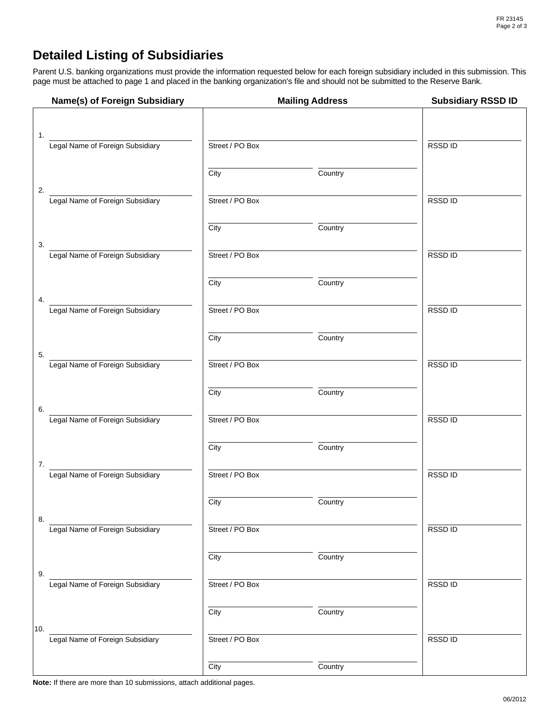## **Detailed Listing of Subsidiaries**

Parent U.S. banking organizations must provide the information requested below for each foreign subsidiary included in this submission. This page must be attached to page 1 and placed in the banking organization's file and should not be submitted to the Reserve Bank.

| Name(s) of Foreign Subsidiary           |                 | <b>Mailing Address</b> | <b>Subsidiary RSSD ID</b> |
|-----------------------------------------|-----------------|------------------------|---------------------------|
|                                         |                 |                        |                           |
| 1.<br>Legal Name of Foreign Subsidiary  | Street / PO Box |                        | <b>RSSDID</b>             |
|                                         | City            | Country                |                           |
| 2.<br>Legal Name of Foreign Subsidiary  | Street / PO Box |                        | RSSD ID                   |
|                                         | City            | Country                |                           |
| 3.<br>Legal Name of Foreign Subsidiary  | Street / PO Box |                        | RSSD ID                   |
|                                         | City            | Country                |                           |
| 4.<br>Legal Name of Foreign Subsidiary  | Street / PO Box |                        | <b>RSSDID</b>             |
|                                         | City            | Country                |                           |
| 5.<br>Legal Name of Foreign Subsidiary  | Street / PO Box |                        | RSSD ID                   |
|                                         | City            | Country                |                           |
| 6.<br>Legal Name of Foreign Subsidiary  | Street / PO Box |                        | RSSD ID                   |
|                                         | City            | Country                |                           |
| 7.<br>Legal Name of Foreign Subsidiary  | Street / PO Box |                        | RSSD ID                   |
|                                         | City            | Country                |                           |
| 8.<br>Legal Name of Foreign Subsidiary  | Street / PO Box |                        | RSSD ID                   |
|                                         | City            | Country                |                           |
| 9.<br>Legal Name of Foreign Subsidiary  | Street / PO Box |                        | RSSD ID                   |
|                                         | City            | Country                |                           |
| 10.<br>Legal Name of Foreign Subsidiary | Street / PO Box |                        | RSSD ID                   |
|                                         | City            | Country                |                           |

**Note:** If there are more than 10 submissions, attach additional pages.